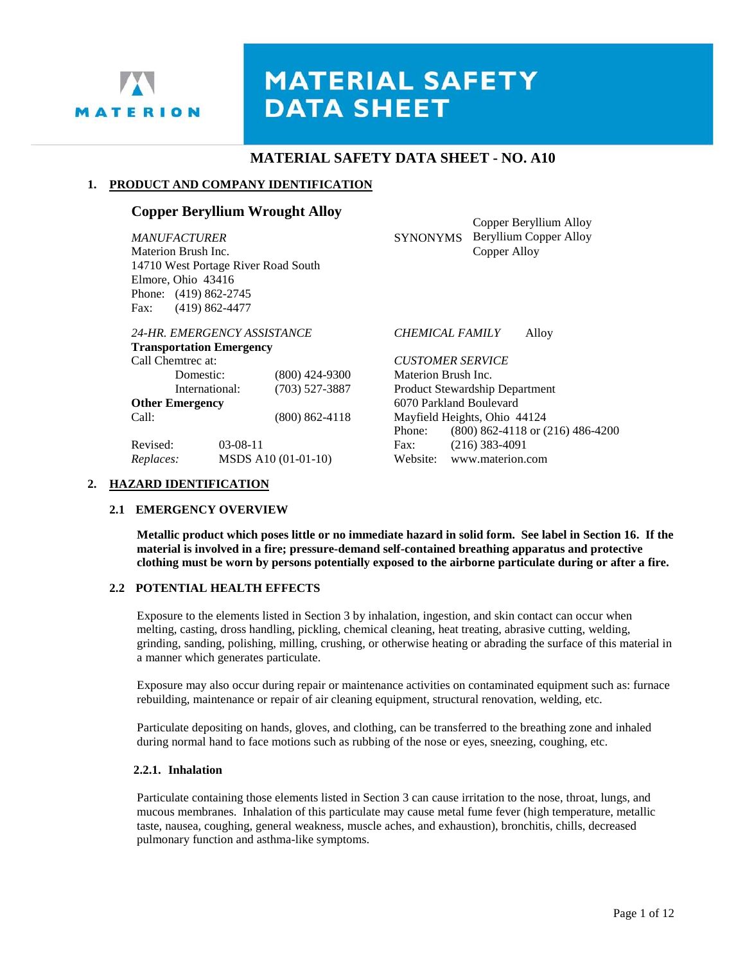

# **MATERIAL SAFETY DATA SHEET**

# **MATERIAL SAFETY DATA SHEET - NO. A10**

#### **1. PRODUCT AND COMPANY IDENTIFICATION**

# **Copper Beryllium Wrought Alloy**

*MANUFACTURER* SYNONYMS Materion Brush Inc. 14710 West Portage River Road South Elmore, Ohio 43416 Phone: (419) 862-2745 Fax: (419) 862-4477

| 24-HR. EMERGENCY ASSISTANCE     |            |                     |
|---------------------------------|------------|---------------------|
| <b>Transportation Emergency</b> |            |                     |
| Call Chemtrec at:               |            |                     |
| Domestic:                       |            | $(800)$ 424-9300    |
| International:                  |            | $(703)$ 527-3887    |
| <b>Other Emergency</b>          |            |                     |
| Call:                           |            | $(800) 862 - 4118$  |
| Revised:                        | $03-08-11$ |                     |
| Replaces:                       |            | MSDS A10 (01-01-10) |

Copper Beryllium Alloy Beryllium Copper Alloy Copper Alloy

#### *24-HR. EMERGENCY ASSISTANCE CHEMICAL FAMILY* Alloy

 $CUSTOMER$  *SERVICE* Materion Brush Inc. Product Stewardship Department **Other Emergency** 6070 Parkland Boulevard Mayfield Heights, Ohio 44124 Phone: (800) 862-4118 or (216) 486-4200 Fax: (216) 383-4091 Website: www.materion.com

#### **2. HAZARD IDENTIFICATION**

#### **2.1 EMERGENCY OVERVIEW**

**Metallic product which poses little or no immediate hazard in solid form. See label in Section 16. If the material is involved in a fire; pressure-demand self-contained breathing apparatus and protective clothing must be worn by persons potentially exposed to the airborne particulate during or after a fire.**

#### **2.2 POTENTIAL HEALTH EFFECTS**

Exposure to the elements listed in Section 3 by inhalation, ingestion, and skin contact can occur when melting, casting, dross handling, pickling, chemical cleaning, heat treating, abrasive cutting, welding, grinding, sanding, polishing, milling, crushing, or otherwise heating or abrading the surface of this material in a manner which generates particulate.

Exposure may also occur during repair or maintenance activities on contaminated equipment such as: furnace rebuilding, maintenance or repair of air cleaning equipment, structural renovation, welding, etc.

Particulate depositing on hands, gloves, and clothing, can be transferred to the breathing zone and inhaled during normal hand to face motions such as rubbing of the nose or eyes, sneezing, coughing, etc.

#### **2.2.1. Inhalation**

Particulate containing those elements listed in Section 3 can cause irritation to the nose, throat, lungs, and mucous membranes. Inhalation of this particulate may cause metal fume fever (high temperature, metallic taste, nausea, coughing, general weakness, muscle aches, and exhaustion), bronchitis, chills, decreased pulmonary function and asthma-like symptoms.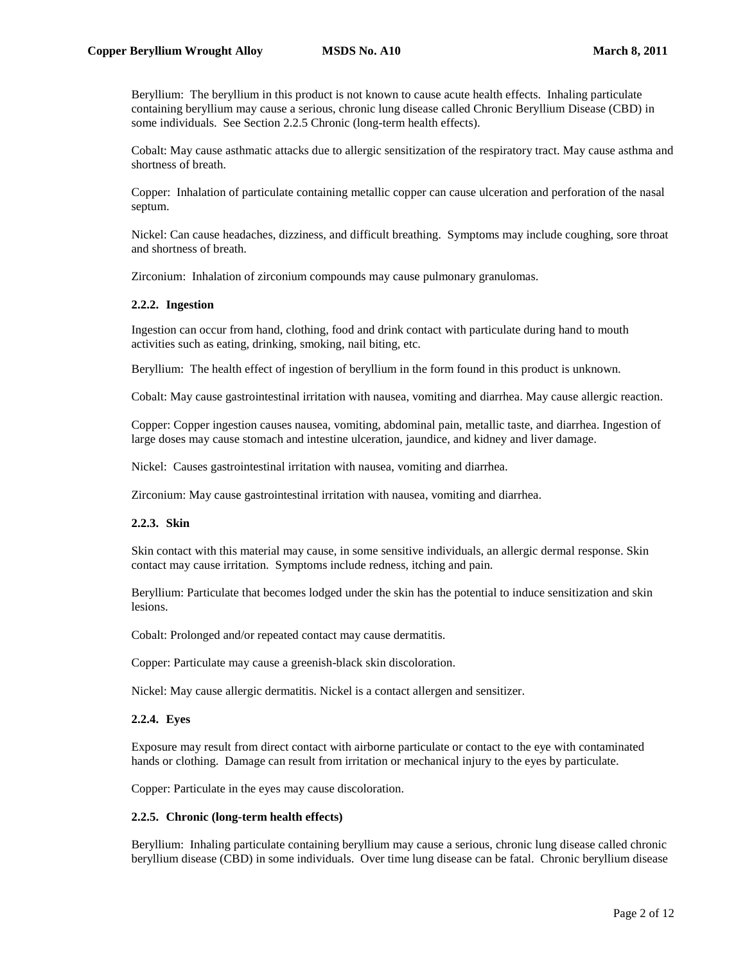Beryllium: The beryllium in this product is not known to cause acute health effects. Inhaling particulate containing beryllium may cause a serious, chronic lung disease called Chronic Beryllium Disease (CBD) in some individuals. See Section 2.2.5 Chronic (long-term health effects).

Cobalt: May cause asthmatic attacks due to allergic sensitization of the respiratory tract. May cause asthma and shortness of breath.

Copper: Inhalation of particulate containing metallic copper can cause ulceration and perforation of the nasal septum.

Nickel: Can cause headaches, dizziness, and difficult breathing. Symptoms may include coughing, sore throat and shortness of breath.

Zirconium: Inhalation of zirconium compounds may cause pulmonary granulomas.

#### **2.2.2. Ingestion**

Ingestion can occur from hand, clothing, food and drink contact with particulate during hand to mouth activities such as eating, drinking, smoking, nail biting, etc.

Beryllium: The health effect of ingestion of beryllium in the form found in this product is unknown.

Cobalt: May cause gastrointestinal irritation with nausea, vomiting and diarrhea. May cause allergic reaction.

Copper: Copper ingestion causes nausea, vomiting, abdominal pain, metallic taste, and diarrhea. Ingestion of large doses may cause stomach and intestine ulceration, jaundice, and kidney and liver damage.

Nickel: Causes gastrointestinal irritation with nausea, vomiting and diarrhea.

Zirconium: May cause gastrointestinal irritation with nausea, vomiting and diarrhea.

#### **2.2.3. Skin**

Skin contact with this material may cause, in some sensitive individuals, an allergic dermal response. Skin contact may cause irritation. Symptoms include redness, itching and pain.

Beryllium: Particulate that becomes lodged under the skin has the potential to induce sensitization and skin lesions.

Cobalt: Prolonged and/or repeated contact may cause dermatitis.

Copper: Particulate may cause a greenish-black skin discoloration.

Nickel: May cause allergic dermatitis. Nickel is a contact allergen and sensitizer.

#### **2.2.4. Eyes**

Exposure may result from direct contact with airborne particulate or contact to the eye with contaminated hands or clothing. Damage can result from irritation or mechanical injury to the eyes by particulate.

Copper: Particulate in the eyes may cause discoloration.

#### **2.2.5. Chronic (long-term health effects)**

Beryllium: Inhaling particulate containing beryllium may cause a serious, chronic lung disease called chronic beryllium disease (CBD) in some individuals. Over time lung disease can be fatal. Chronic beryllium disease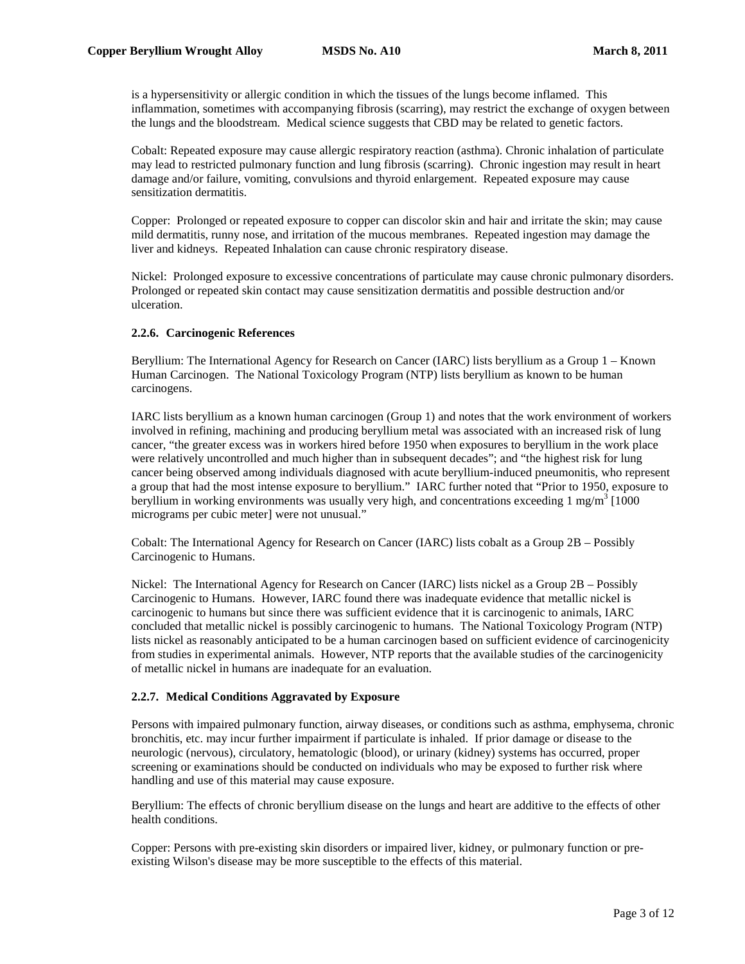is a hypersensitivity or allergic condition in which the tissues of the lungs become inflamed. This inflammation, sometimes with accompanying fibrosis (scarring), may restrict the exchange of oxygen between the lungs and the bloodstream. Medical science suggests that CBD may be related to genetic factors.

Cobalt: Repeated exposure may cause allergic respiratory reaction (asthma). Chronic inhalation of particulate may lead to restricted pulmonary function and lung fibrosis (scarring). Chronic ingestion may result in heart damage and/or failure, vomiting, convulsions and thyroid enlargement. Repeated exposure may cause sensitization dermatitis.

Copper: Prolonged or repeated exposure to copper can discolor skin and hair and irritate the skin; may cause mild dermatitis, runny nose, and irritation of the mucous membranes. Repeated ingestion may damage the liver and kidneys. Repeated Inhalation can cause chronic respiratory disease.

Nickel: Prolonged exposure to excessive concentrations of particulate may cause chronic pulmonary disorders. Prolonged or repeated skin contact may cause sensitization dermatitis and possible destruction and/or ulceration.

## **2.2.6. Carcinogenic References**

Beryllium: The International Agency for Research on Cancer (IARC) lists beryllium as a Group 1 – Known Human Carcinogen. The National Toxicology Program (NTP) lists beryllium as known to be human carcinogens.

IARC lists beryllium as a known human carcinogen (Group 1) and notes that the work environment of workers involved in refining, machining and producing beryllium metal was associated with an increased risk of lung cancer, "the greater excess was in workers hired before 1950 when exposures to beryllium in the work place were relatively uncontrolled and much higher than in subsequent decades"; and "the highest risk for lung cancer being observed among individuals diagnosed with acute beryllium-induced pneumonitis, who represent a group that had the most intense exposure to beryllium." IARC further noted that "Prior to 1950, exposure to beryllium in working environments was usually very high, and concentrations exceeding  $1 \text{ mg/m}^3$  [1000 micrograms per cubic meter] were not unusual."

Cobalt: The International Agency for Research on Cancer (IARC) lists cobalt as a Group 2B – Possibly Carcinogenic to Humans.

Nickel: The International Agency for Research on Cancer (IARC) lists nickel as a Group 2B – Possibly Carcinogenic to Humans. However, IARC found there was inadequate evidence that metallic nickel is carcinogenic to humans but since there was sufficient evidence that it is carcinogenic to animals, IARC concluded that metallic nickel is possibly carcinogenic to humans. The National Toxicology Program (NTP) lists nickel as reasonably anticipated to be a human carcinogen based on sufficient evidence of carcinogenicity from studies in experimental animals. However, NTP reports that the available studies of the carcinogenicity of metallic nickel in humans are inadequate for an evaluation.

## **2.2.7. Medical Conditions Aggravated by Exposure**

Persons with impaired pulmonary function, airway diseases, or conditions such as asthma, emphysema, chronic bronchitis, etc. may incur further impairment if particulate is inhaled. If prior damage or disease to the neurologic (nervous), circulatory, hematologic (blood), or urinary (kidney) systems has occurred, proper screening or examinations should be conducted on individuals who may be exposed to further risk where handling and use of this material may cause exposure.

Beryllium: The effects of chronic beryllium disease on the lungs and heart are additive to the effects of other health conditions.

Copper: Persons with pre-existing skin disorders or impaired liver, kidney, or pulmonary function or preexisting Wilson's disease may be more susceptible to the effects of this material.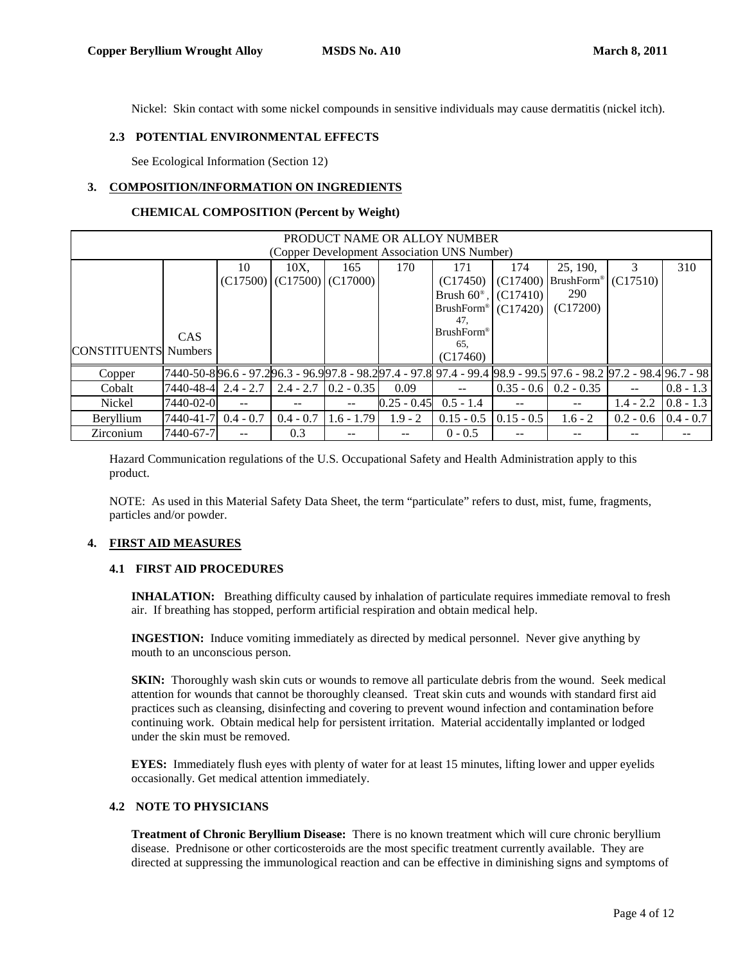Nickel: Skin contact with some nickel compounds in sensitive individuals may cause dermatitis (nickel itch).

#### **2.3 POTENTIAL ENVIRONMENTAL EFFECTS**

See Ecological Information (Section 12)

#### **3. COMPOSITION/INFORMATION ON INGREDIENTS**

#### **CHEMICAL COMPOSITION (Percent by Weight)**

|                             | PRODUCT NAME OR ALLOY NUMBER                |                          |                                  |              |               |                                                                                                                          |              |                   |             |             |
|-----------------------------|---------------------------------------------|--------------------------|----------------------------------|--------------|---------------|--------------------------------------------------------------------------------------------------------------------------|--------------|-------------------|-------------|-------------|
|                             | (Copper Development Association UNS Number) |                          |                                  |              |               |                                                                                                                          |              |                   |             |             |
|                             |                                             | 10                       | 10X.                             | 165          | 170           | 171                                                                                                                      | 174          | 25, 190.          | 3           | 310         |
|                             |                                             |                          | $(C17500)$ $(C17500)$ $(C17000)$ |              |               | (C17450)                                                                                                                 | (C17400)     | <b>BrushForm®</b> | (C17510)    |             |
|                             |                                             |                          |                                  |              |               | Brush $60^{\circ}$ ,                                                                                                     | (C17410)     | 290               |             |             |
|                             |                                             |                          |                                  |              |               | BrushForm <sup>®</sup>                                                                                                   | (C17420)     | (C17200)          |             |             |
|                             |                                             |                          |                                  |              |               | 47.                                                                                                                      |              |                   |             |             |
|                             | <b>CAS</b>                                  |                          |                                  |              |               | <b>BrushForm®</b>                                                                                                        |              |                   |             |             |
|                             |                                             |                          |                                  |              |               | 65,                                                                                                                      |              |                   |             |             |
| <b>CONSTITUENTS</b> Numbers |                                             |                          |                                  |              |               | (C17460)                                                                                                                 |              |                   |             |             |
| Copper                      |                                             |                          |                                  |              |               | 7440-50-8 96.6 - 97.2 96.3 - 96.9 97.8 - 98.2 97.4 - 97.8  97.4 - 99.4  98.9 - 99.5  97.6 - 98.2  97.2 - 98.4  96.7 - 98 |              |                   |             |             |
| Cobalt                      | $ 7440-48-4 $ 2.4 - 2.7                     |                          | $2.4 - 2.7$                      | $0.2 - 0.35$ | 0.09          |                                                                                                                          | $0.35 - 0.6$ | $0.2 - 0.35$      |             | $0.8 - 1.3$ |
| Nickel                      | 7440-02-0                                   | $- -$                    | --                               |              | $0.25 - 0.45$ | $0.5 - 1.4$                                                                                                              | $- -$        |                   | $1.4 - 2.2$ | $0.8 - 1.3$ |
| Beryllium                   | 7440-41-7                                   | $0.4 - 0.7$              | $0.4 - 0.7$                      | $1.6 - 1.79$ | $1.9 - 2$     | $0.15 - 0.5$                                                                                                             | $0.15 - 0.5$ | $1.6 - 2$         | $0.2 - 0.6$ | $0.4 - 0.7$ |
| Zirconium                   | 7440-67-7                                   | $\overline{\phantom{m}}$ | 0.3                              |              |               | $0 - 0.5$                                                                                                                | --           |                   |             |             |

Hazard Communication regulations of the U.S. Occupational Safety and Health Administration apply to this product.

NOTE: As used in this Material Safety Data Sheet, the term "particulate" refers to dust, mist, fume, fragments, particles and/or powder.

#### **4. FIRST AID MEASURES**

#### **4.1 FIRST AID PROCEDURES**

**INHALATION:** Breathing difficulty caused by inhalation of particulate requires immediate removal to fresh air. If breathing has stopped, perform artificial respiration and obtain medical help.

**INGESTION:** Induce vomiting immediately as directed by medical personnel. Never give anything by mouth to an unconscious person.

**SKIN:** Thoroughly wash skin cuts or wounds to remove all particulate debris from the wound. Seek medical attention for wounds that cannot be thoroughly cleansed. Treat skin cuts and wounds with standard first aid practices such as cleansing, disinfecting and covering to prevent wound infection and contamination before continuing work. Obtain medical help for persistent irritation. Material accidentally implanted or lodged under the skin must be removed.

**EYES:** Immediately flush eyes with plenty of water for at least 15 minutes, lifting lower and upper eyelids occasionally. Get medical attention immediately.

## **4.2 NOTE TO PHYSICIANS**

**Treatment of Chronic Beryllium Disease:** There is no known treatment which will cure chronic beryllium disease. Prednisone or other corticosteroids are the most specific treatment currently available. They are directed at suppressing the immunological reaction and can be effective in diminishing signs and symptoms of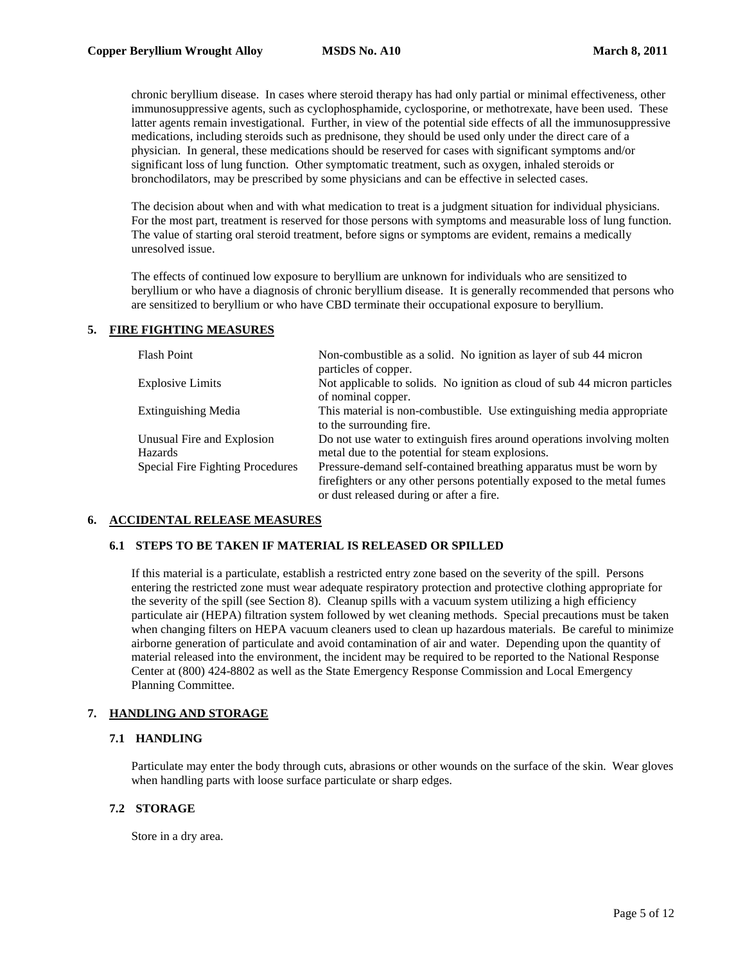chronic beryllium disease. In cases where steroid therapy has had only partial or minimal effectiveness, other immunosuppressive agents, such as cyclophosphamide, cyclosporine, or methotrexate, have been used. These latter agents remain investigational. Further, in view of the potential side effects of all the immunosuppressive medications, including steroids such as prednisone, they should be used only under the direct care of a physician. In general, these medications should be reserved for cases with significant symptoms and/or significant loss of lung function. Other symptomatic treatment, such as oxygen, inhaled steroids or bronchodilators, may be prescribed by some physicians and can be effective in selected cases.

The decision about when and with what medication to treat is a judgment situation for individual physicians. For the most part, treatment is reserved for those persons with symptoms and measurable loss of lung function. The value of starting oral steroid treatment, before signs or symptoms are evident, remains a medically unresolved issue.

The effects of continued low exposure to beryllium are unknown for individuals who are sensitized to beryllium or who have a diagnosis of chronic beryllium disease. It is generally recommended that persons who are sensitized to beryllium or who have CBD terminate their occupational exposure to beryllium.

## **5. FIRE FIGHTING MEASURES**

| <b>Flash Point</b>               | Non-combustible as a solid. No ignition as layer of sub 44 micron<br>particles of copper.         |
|----------------------------------|---------------------------------------------------------------------------------------------------|
| <b>Explosive Limits</b>          | Not applicable to solids. No ignition as cloud of sub 44 micron particles<br>of nominal copper.   |
| <b>Extinguishing Media</b>       | This material is non-combustible. Use extinguishing media appropriate<br>to the surrounding fire. |
| Unusual Fire and Explosion       | Do not use water to extinguish fires around operations involving molten                           |
| Hazards                          | metal due to the potential for steam explosions.                                                  |
| Special Fire Fighting Procedures | Pressure-demand self-contained breathing apparatus must be worn by                                |
|                                  | firefighters or any other persons potentially exposed to the metal fumes                          |
|                                  | or dust released during or after a fire.                                                          |

## **6. ACCIDENTAL RELEASE MEASURES**

## **6.1 STEPS TO BE TAKEN IF MATERIAL IS RELEASED OR SPILLED**

If this material is a particulate, establish a restricted entry zone based on the severity of the spill. Persons entering the restricted zone must wear adequate respiratory protection and protective clothing appropriate for the severity of the spill (see Section 8). Cleanup spills with a vacuum system utilizing a high efficiency particulate air (HEPA) filtration system followed by wet cleaning methods. Special precautions must be taken when changing filters on HEPA vacuum cleaners used to clean up hazardous materials. Be careful to minimize airborne generation of particulate and avoid contamination of air and water. Depending upon the quantity of material released into the environment, the incident may be required to be reported to the National Response Center at (800) 424-8802 as well as the State Emergency Response Commission and Local Emergency Planning Committee.

## **7. HANDLING AND STORAGE**

## **7.1 HANDLING**

Particulate may enter the body through cuts, abrasions or other wounds on the surface of the skin. Wear gloves when handling parts with loose surface particulate or sharp edges.

## **7.2 STORAGE**

Store in a dry area.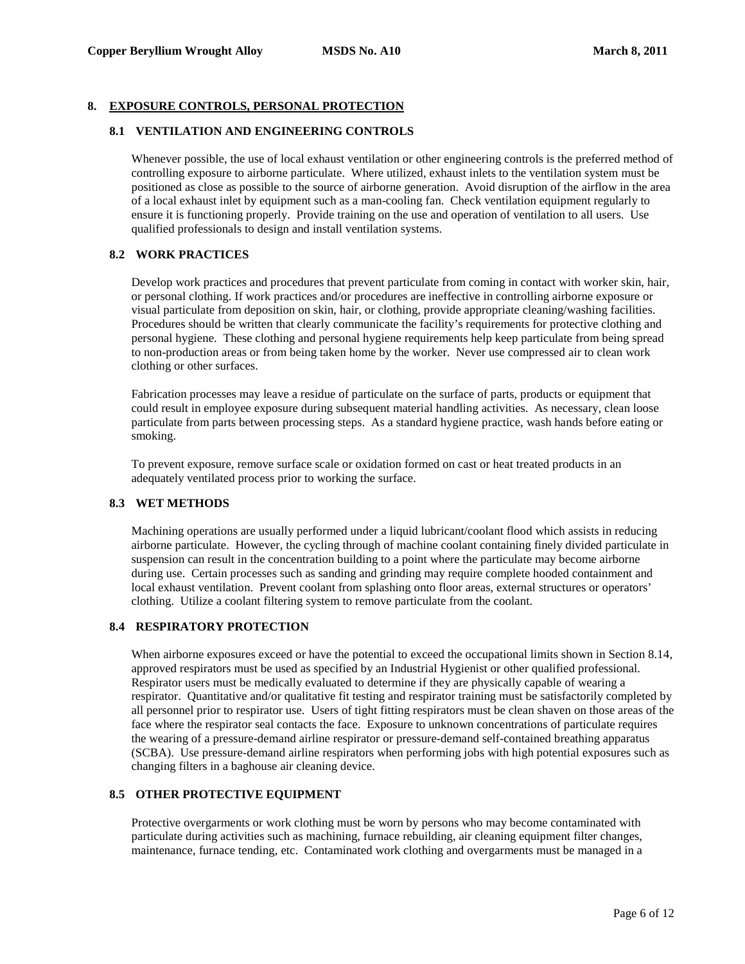## **8. EXPOSURE CONTROLS, PERSONAL PROTECTION**

#### **8.1 VENTILATION AND ENGINEERING CONTROLS**

Whenever possible, the use of local exhaust ventilation or other engineering controls is the preferred method of controlling exposure to airborne particulate. Where utilized, exhaust inlets to the ventilation system must be positioned as close as possible to the source of airborne generation. Avoid disruption of the airflow in the area of a local exhaust inlet by equipment such as a man-cooling fan. Check ventilation equipment regularly to ensure it is functioning properly. Provide training on the use and operation of ventilation to all users. Use qualified professionals to design and install ventilation systems.

## **8.2 WORK PRACTICES**

Develop work practices and procedures that prevent particulate from coming in contact with worker skin, hair, or personal clothing. If work practices and/or procedures are ineffective in controlling airborne exposure or visual particulate from deposition on skin, hair, or clothing, provide appropriate cleaning/washing facilities. Procedures should be written that clearly communicate the facility's requirements for protective clothing and personal hygiene. These clothing and personal hygiene requirements help keep particulate from being spread to non-production areas or from being taken home by the worker. Never use compressed air to clean work clothing or other surfaces.

Fabrication processes may leave a residue of particulate on the surface of parts, products or equipment that could result in employee exposure during subsequent material handling activities. As necessary, clean loose particulate from parts between processing steps. As a standard hygiene practice, wash hands before eating or smoking.

To prevent exposure, remove surface scale or oxidation formed on cast or heat treated products in an adequately ventilated process prior to working the surface.

## **8.3 WET METHODS**

Machining operations are usually performed under a liquid lubricant/coolant flood which assists in reducing airborne particulate. However, the cycling through of machine coolant containing finely divided particulate in suspension can result in the concentration building to a point where the particulate may become airborne during use. Certain processes such as sanding and grinding may require complete hooded containment and local exhaust ventilation. Prevent coolant from splashing onto floor areas, external structures or operators' clothing. Utilize a coolant filtering system to remove particulate from the coolant.

## **8.4 RESPIRATORY PROTECTION**

When airborne exposures exceed or have the potential to exceed the occupational limits shown in Section 8.14, approved respirators must be used as specified by an Industrial Hygienist or other qualified professional. Respirator users must be medically evaluated to determine if they are physically capable of wearing a respirator. Quantitative and/or qualitative fit testing and respirator training must be satisfactorily completed by all personnel prior to respirator use. Users of tight fitting respirators must be clean shaven on those areas of the face where the respirator seal contacts the face. Exposure to unknown concentrations of particulate requires the wearing of a pressure-demand airline respirator or pressure-demand self-contained breathing apparatus (SCBA). Use pressure-demand airline respirators when performing jobs with high potential exposures such as changing filters in a baghouse air cleaning device.

## **8.5 OTHER PROTECTIVE EQUIPMENT**

Protective overgarments or work clothing must be worn by persons who may become contaminated with particulate during activities such as machining, furnace rebuilding, air cleaning equipment filter changes, maintenance, furnace tending, etc. Contaminated work clothing and overgarments must be managed in a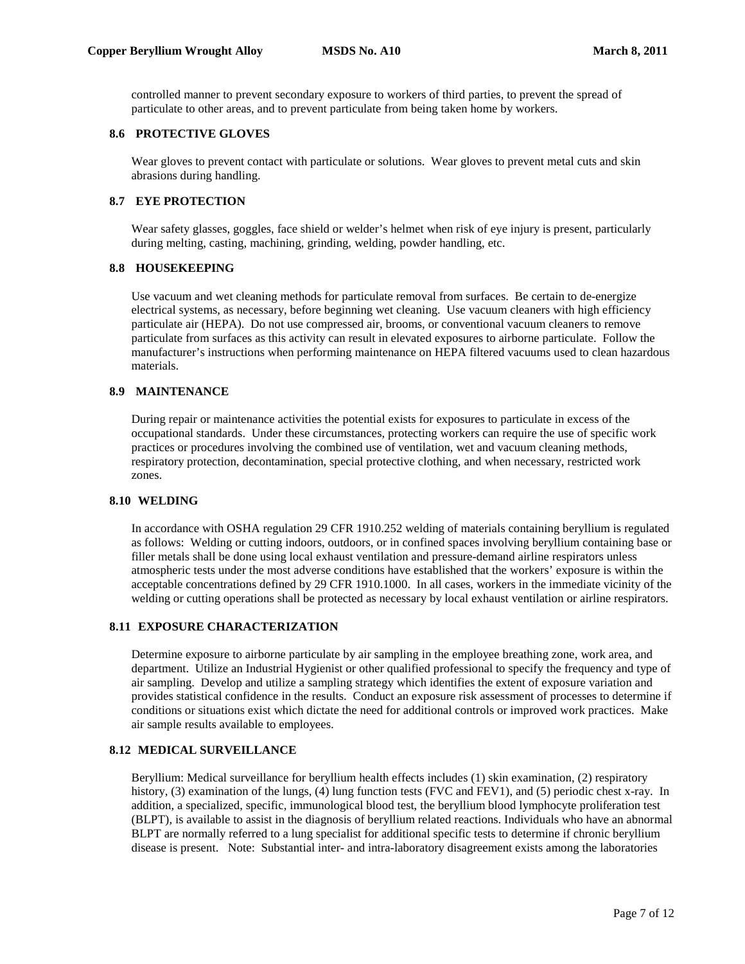controlled manner to prevent secondary exposure to workers of third parties, to prevent the spread of particulate to other areas, and to prevent particulate from being taken home by workers.

## **8.6 PROTECTIVE GLOVES**

Wear gloves to prevent contact with particulate or solutions. Wear gloves to prevent metal cuts and skin abrasions during handling.

# **8.7 EYE PROTECTION**

Wear safety glasses, goggles, face shield or welder's helmet when risk of eye injury is present, particularly during melting, casting, machining, grinding, welding, powder handling, etc.

# **8.8 HOUSEKEEPING**

Use vacuum and wet cleaning methods for particulate removal from surfaces. Be certain to de-energize electrical systems, as necessary, before beginning wet cleaning. Use vacuum cleaners with high efficiency particulate air (HEPA). Do not use compressed air, brooms, or conventional vacuum cleaners to remove particulate from surfaces as this activity can result in elevated exposures to airborne particulate. Follow the manufacturer's instructions when performing maintenance on HEPA filtered vacuums used to clean hazardous materials.

## **8.9 MAINTENANCE**

During repair or maintenance activities the potential exists for exposures to particulate in excess of the occupational standards. Under these circumstances, protecting workers can require the use of specific work practices or procedures involving the combined use of ventilation, wet and vacuum cleaning methods, respiratory protection, decontamination, special protective clothing, and when necessary, restricted work zones.

#### **8.10 WELDING**

In accordance with OSHA regulation 29 CFR 1910.252 welding of materials containing beryllium is regulated as follows: Welding or cutting indoors, outdoors, or in confined spaces involving beryllium containing base or filler metals shall be done using local exhaust ventilation and pressure-demand airline respirators unless atmospheric tests under the most adverse conditions have established that the workers' exposure is within the acceptable concentrations defined by 29 CFR 1910.1000. In all cases, workers in the immediate vicinity of the welding or cutting operations shall be protected as necessary by local exhaust ventilation or airline respirators.

#### **8.11 EXPOSURE CHARACTERIZATION**

Determine exposure to airborne particulate by air sampling in the employee breathing zone, work area, and department. Utilize an Industrial Hygienist or other qualified professional to specify the frequency and type of air sampling. Develop and utilize a sampling strategy which identifies the extent of exposure variation and provides statistical confidence in the results. Conduct an exposure risk assessment of processes to determine if conditions or situations exist which dictate the need for additional controls or improved work practices. Make air sample results available to employees.

## **8.12 MEDICAL SURVEILLANCE**

Beryllium: Medical surveillance for beryllium health effects includes (1) skin examination, (2) respiratory history, (3) examination of the lungs, (4) lung function tests (FVC and FEV1), and (5) periodic chest x-ray. In addition, a specialized, specific, immunological blood test, the beryllium blood lymphocyte proliferation test (BLPT), is available to assist in the diagnosis of beryllium related reactions. Individuals who have an abnormal BLPT are normally referred to a lung specialist for additional specific tests to determine if chronic beryllium disease is present. Note: Substantial inter- and intra-laboratory disagreement exists among the laboratories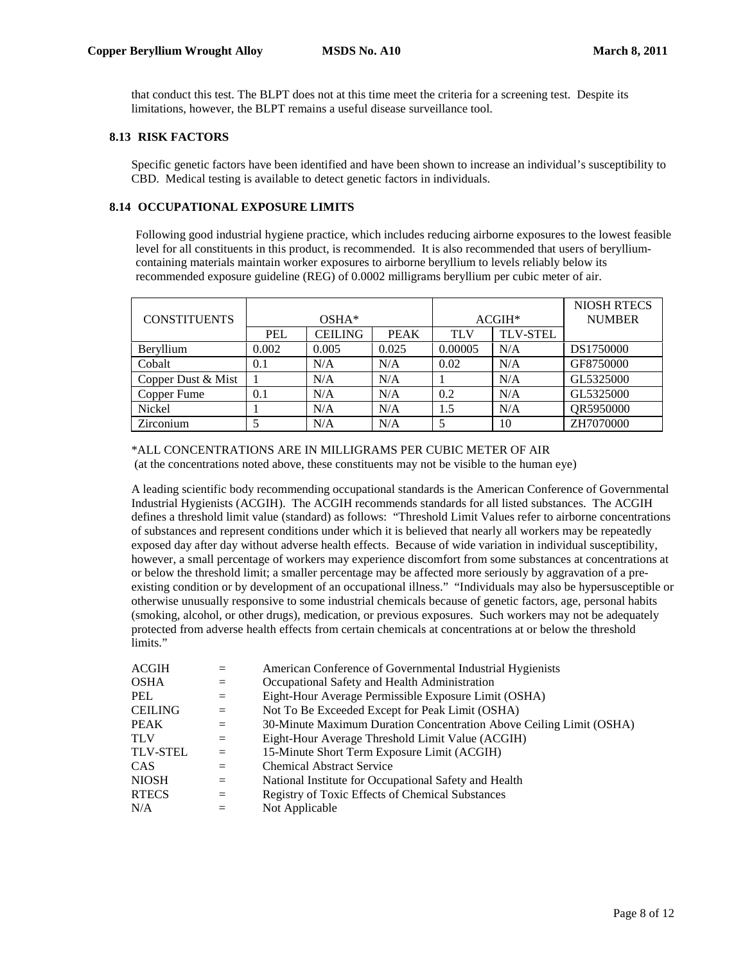that conduct this test. The BLPT does not at this time meet the criteria for a screening test. Despite its limitations, however, the BLPT remains a useful disease surveillance tool.

#### **8.13 RISK FACTORS**

Specific genetic factors have been identified and have been shown to increase an individual's susceptibility to CBD. Medical testing is available to detect genetic factors in individuals.

#### **8.14 OCCUPATIONAL EXPOSURE LIMITS**

Following good industrial hygiene practice, which includes reducing airborne exposures to the lowest feasible level for all constituents in this product, is recommended. It is also recommended that users of berylliumcontaining materials maintain worker exposures to airborne beryllium to levels reliably below its recommended exposure guideline (REG) of 0.0002 milligrams beryllium per cubic meter of air.

|                     |            |                |             |            |                 | <b>NIOSH RTECS</b> |
|---------------------|------------|----------------|-------------|------------|-----------------|--------------------|
| <b>CONSTITUENTS</b> | $OSHA*$    |                |             | $ACGIH^*$  |                 | <b>NUMBER</b>      |
|                     | <b>PEL</b> | <b>CEILING</b> | <b>PEAK</b> | <b>TLV</b> | <b>TLV-STEL</b> |                    |
| Beryllium           | 0.002      | 0.005          | 0.025       | 0.00005    | N/A             | DS1750000          |
| Cobalt              | 0.1        | N/A            | N/A         | 0.02       | N/A             | GF8750000          |
| Copper Dust & Mist  |            | N/A            | N/A         |            | N/A             | GL5325000          |
| Copper Fume         | 0.1        | N/A            | N/A         | 0.2        | N/A             | GL5325000          |
| Nickel              |            | N/A            | N/A         | 1.5        | N/A             | QR5950000          |
| Zirconium           |            | N/A            | N/A         |            | 10              | ZH7070000          |

\*ALL CONCENTRATIONS ARE IN MILLIGRAMS PER CUBIC METER OF AIR (at the concentrations noted above, these constituents may not be visible to the human eye)

A leading scientific body recommending occupational standards is the American Conference of Governmental Industrial Hygienists (ACGIH). The ACGIH recommends standards for all listed substances. The ACGIH defines a threshold limit value (standard) as follows: "Threshold Limit Values refer to airborne concentrations of substances and represent conditions under which it is believed that nearly all workers may be repeatedly exposed day after day without adverse health effects. Because of wide variation in individual susceptibility, however, a small percentage of workers may experience discomfort from some substances at concentrations at or below the threshold limit; a smaller percentage may be affected more seriously by aggravation of a preexisting condition or by development of an occupational illness." "Individuals may also be hypersusceptible or otherwise unusually responsive to some industrial chemicals because of genetic factors, age, personal habits (smoking, alcohol, or other drugs), medication, or previous exposures. Such workers may not be adequately protected from adverse health effects from certain chemicals at concentrations at or below the threshold limits."

| <b>ACGIH</b>    |          | American Conference of Governmental Industrial Hygienists           |
|-----------------|----------|---------------------------------------------------------------------|
| <b>OSHA</b>     | $=$      | Occupational Safety and Health Administration                       |
| PEL             | $=$      | Eight-Hour Average Permissible Exposure Limit (OSHA)                |
| <b>CEILING</b>  | $\equiv$ | Not To Be Exceeded Except for Peak Limit (OSHA)                     |
| <b>PEAK</b>     | $=$      | 30-Minute Maximum Duration Concentration Above Ceiling Limit (OSHA) |
| TLV             | $=$      | Eight-Hour Average Threshold Limit Value (ACGIH)                    |
| <b>TLV-STEL</b> | $=$      | 15-Minute Short Term Exposure Limit (ACGIH)                         |
| <b>CAS</b>      | $=$      | <b>Chemical Abstract Service</b>                                    |
| <b>NIOSH</b>    | $=$      | National Institute for Occupational Safety and Health               |
| <b>RTECS</b>    | $=$      | Registry of Toxic Effects of Chemical Substances                    |
| N/A             | $=$      | Not Applicable                                                      |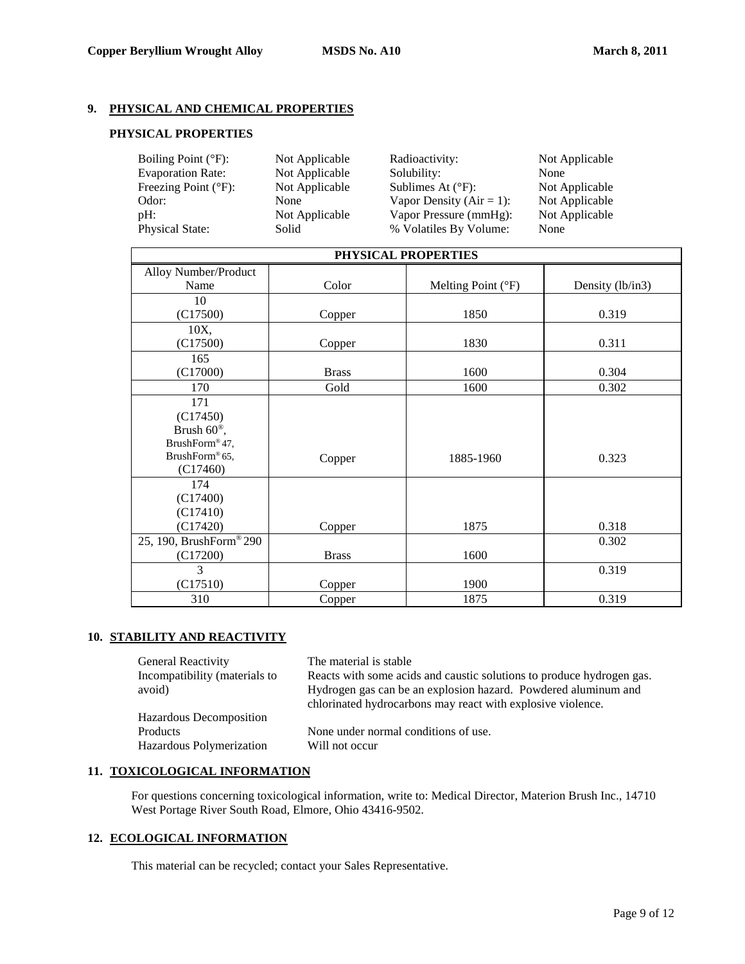# **9. PHYSICAL AND CHEMICAL PROPERTIES**

# **PHYSICAL PROPERTIES**

| Boiling Point $(^{\circ}F)$ :<br><b>Evaporation Rate:</b> | Not Applicable<br>Not Applicable | Radioactivity:<br>Solubility: | Not Applicable<br>None |
|-----------------------------------------------------------|----------------------------------|-------------------------------|------------------------|
| Freezing Point $(^{\circ}F)$ :                            | Not Applicable                   | Sublimes At $(^{\circ}F)$ :   | Not Applicable         |
| Odor:                                                     | None                             | Vapor Density ( $Air = 1$ ):  | Not Applicable         |
| $\mathrm{pH}$ :                                           | Not Applicable                   | Vapor Pressure (mmHg):        | Not Applicable         |
| <b>Physical State:</b>                                    | Solid                            | % Volatiles By Volume:        | None                   |

| PHYSICAL PROPERTIES       |              |                    |                  |  |  |
|---------------------------|--------------|--------------------|------------------|--|--|
| Alloy Number/Product      |              |                    |                  |  |  |
| Name                      | Color        | Melting Point (°F) | Density (lb/in3) |  |  |
| 10                        |              |                    |                  |  |  |
| (C17500)                  | Copper       | 1850               | 0.319            |  |  |
| 10X,                      |              |                    |                  |  |  |
| (C17500)                  | Copper       | 1830               | 0.311            |  |  |
| 165                       |              |                    |                  |  |  |
| (C17000)                  | <b>Brass</b> | 1600               | 0.304            |  |  |
| 170                       | Gold         | 1600               | 0.302            |  |  |
| 171                       |              |                    |                  |  |  |
| (C17450)                  |              |                    |                  |  |  |
| Brush $60^{\circ\circ}$ , |              |                    |                  |  |  |
| BrushForm® 47,            |              |                    |                  |  |  |
| BrushForm® 65,            | Copper       | 1885-1960          | 0.323            |  |  |
| (C17460)                  |              |                    |                  |  |  |
| 174                       |              |                    |                  |  |  |
| (C17400)                  |              |                    |                  |  |  |
| (C17410)                  |              | 1875               | 0.318            |  |  |
| (C17420)                  | Copper       |                    |                  |  |  |
| 25, 190, BrushForm® 290   |              | 1600               | 0.302            |  |  |
| (C17200)<br>$\mathcal{E}$ | <b>Brass</b> |                    |                  |  |  |
|                           |              |                    | 0.319            |  |  |
| (C17510)                  | Copper       | 1900               |                  |  |  |
| 310                       | Copper       | 1875               | 0.319            |  |  |

# **10. STABILITY AND REACTIVITY**

| <b>General Reactivity</b>     | The material is stable                                                |
|-------------------------------|-----------------------------------------------------------------------|
| Incompatibility (materials to | Reacts with some acids and caustic solutions to produce hydrogen gas. |
| avoid)                        | Hydrogen gas can be an explosion hazard. Powdered aluminum and        |
|                               | chlorinated hydrocarbons may react with explosive violence.           |
| Hazardous Decomposition       |                                                                       |
| Products                      | None under normal conditions of use.                                  |
| Hazardous Polymerization      | Will not occur                                                        |
|                               |                                                                       |

# **11. TOXICOLOGICAL INFORMATION**

For questions concerning toxicological information, write to: Medical Director, Materion Brush Inc., 14710 West Portage River South Road, Elmore, Ohio 43416-9502.

## **12. ECOLOGICAL INFORMATION**

This material can be recycled; contact your Sales Representative.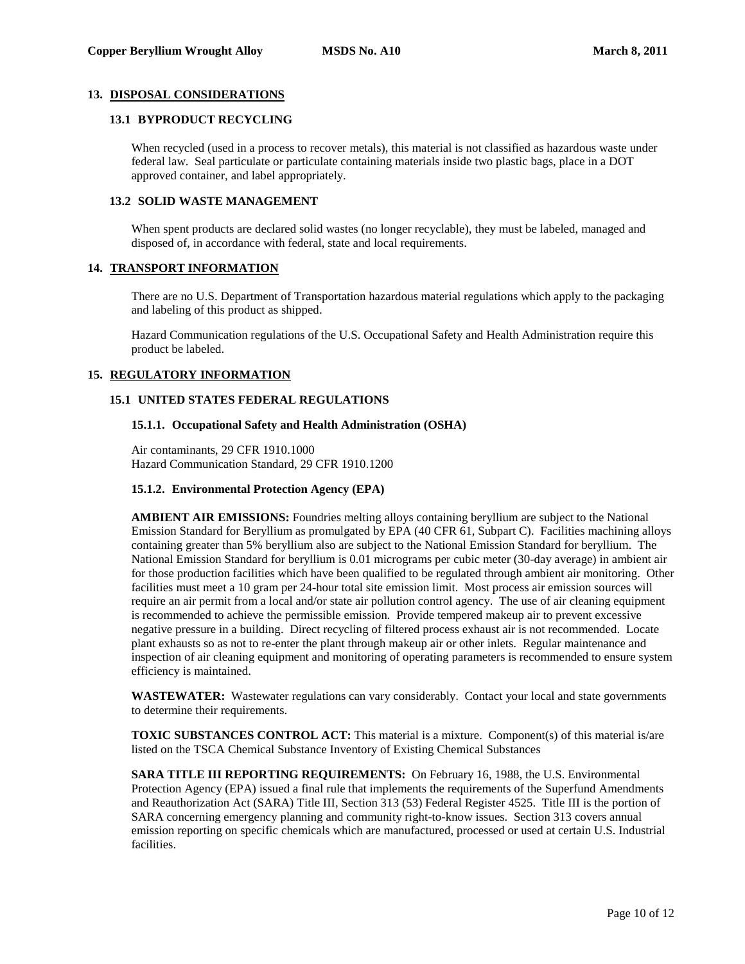## **13. DISPOSAL CONSIDERATIONS**

#### **13.1 BYPRODUCT RECYCLING**

When recycled (used in a process to recover metals), this material is not classified as hazardous waste under federal law. Seal particulate or particulate containing materials inside two plastic bags, place in a DOT approved container, and label appropriately.

## **13.2 SOLID WASTE MANAGEMENT**

When spent products are declared solid wastes (no longer recyclable), they must be labeled, managed and disposed of, in accordance with federal, state and local requirements.

## **14. TRANSPORT INFORMATION**

There are no U.S. Department of Transportation hazardous material regulations which apply to the packaging and labeling of this product as shipped.

Hazard Communication regulations of the U.S. Occupational Safety and Health Administration require this product be labeled.

# **15. REGULATORY INFORMATION**

# **15.1 UNITED STATES FEDERAL REGULATIONS**

## **15.1.1. Occupational Safety and Health Administration (OSHA)**

Air contaminants, 29 CFR 1910.1000 Hazard Communication Standard, 29 CFR 1910.1200

## **15.1.2. Environmental Protection Agency (EPA)**

**AMBIENT AIR EMISSIONS:** Foundries melting alloys containing beryllium are subject to the National Emission Standard for Beryllium as promulgated by EPA (40 CFR 61, Subpart C). Facilities machining alloys containing greater than 5% beryllium also are subject to the National Emission Standard for beryllium. The National Emission Standard for beryllium is 0.01 micrograms per cubic meter (30-day average) in ambient air for those production facilities which have been qualified to be regulated through ambient air monitoring. Other facilities must meet a 10 gram per 24-hour total site emission limit. Most process air emission sources will require an air permit from a local and/or state air pollution control agency. The use of air cleaning equipment is recommended to achieve the permissible emission. Provide tempered makeup air to prevent excessive negative pressure in a building. Direct recycling of filtered process exhaust air is not recommended. Locate plant exhausts so as not to re-enter the plant through makeup air or other inlets. Regular maintenance and inspection of air cleaning equipment and monitoring of operating parameters is recommended to ensure system efficiency is maintained.

**WASTEWATER:** Wastewater regulations can vary considerably. Contact your local and state governments to determine their requirements.

**TOXIC SUBSTANCES CONTROL ACT:** This material is a mixture. Component(s) of this material is/are listed on the TSCA Chemical Substance Inventory of Existing Chemical Substances

**SARA TITLE III REPORTING REQUIREMENTS:** On February 16, 1988, the U.S. Environmental Protection Agency (EPA) issued a final rule that implements the requirements of the Superfund Amendments and Reauthorization Act (SARA) Title III, Section 313 (53) Federal Register 4525. Title III is the portion of SARA concerning emergency planning and community right-to-know issues. Section 313 covers annual emission reporting on specific chemicals which are manufactured, processed or used at certain U.S. Industrial facilities.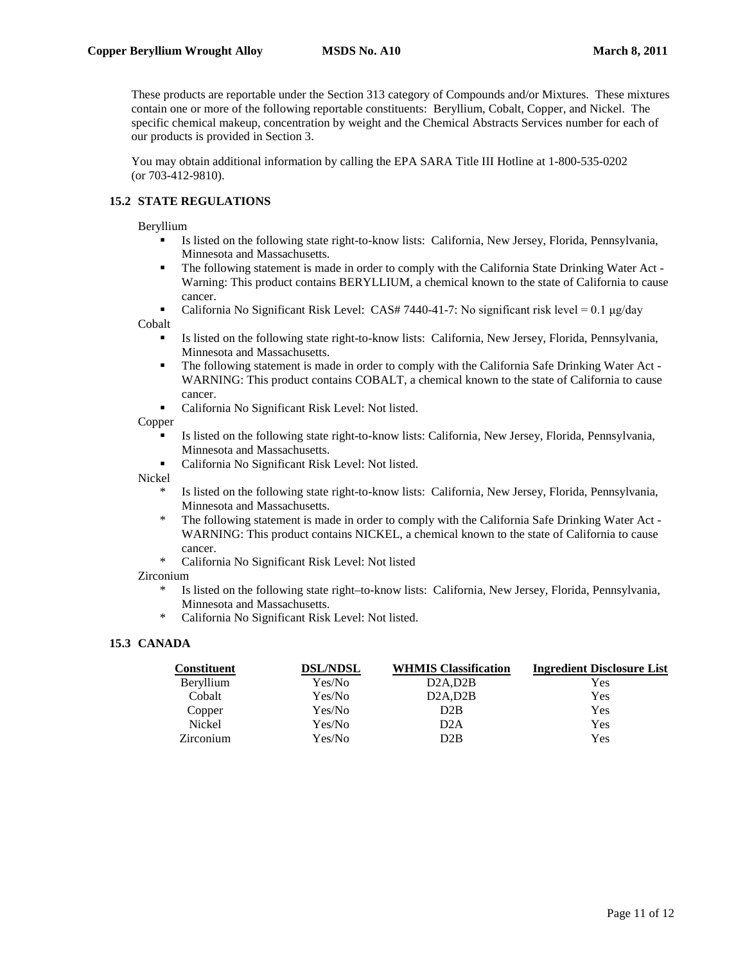These products are reportable under the Section 313 category of Compounds and/or Mixtures. These mixtures contain one or more of the following reportable constituents: Beryllium, Cobalt, Copper, and Nickel. The specific chemical makeup, concentration by weight and the Chemical Abstracts Services number for each of our products is provided in Section 3.

You may obtain additional information by calling the EPA SARA Title III Hotline at 1-800-535-0202 (or 703-412-9810).

# **15.2 STATE REGULATIONS**

Beryllium

- Is listed on the following state right-to-know lists: California, New Jersey, Florida, Pennsylvania, Minnesota and Massachusetts.
- The following statement is made in order to comply with the California State Drinking Water Act Warning: This product contains BERYLLIUM, a chemical known to the state of California to cause cancer.
- California No Significant Risk Level: CAS# 7440-41-7: No significant risk level =  $0.1 \mu g/day$

Cobalt

- Is listed on the following state right-to-know lists: California, New Jersey, Florida, Pennsylvania, Minnesota and Massachusetts.
- The following statement is made in order to comply with the California Safe Drinking Water Act WARNING: This product contains COBALT, a chemical known to the state of California to cause cancer.
- California No Significant Risk Level: Not listed.

Copper

- Is listed on the following state right-to-know lists: California, New Jersey, Florida, Pennsylvania, Minnesota and Massachusetts.
- California No Significant Risk Level: Not listed.

Nickel

- \* Is listed on the following state right-to-know lists: California, New Jersey, Florida, Pennsylvania, Minnesota and Massachusetts.
- The following statement is made in order to comply with the California Safe Drinking Water Act -WARNING: This product contains NICKEL, a chemical known to the state of California to cause cancer.
- \* California No Significant Risk Level: Not listed

Zirconium

- \* Is listed on the following state right–to-know lists: California, New Jersey, Florida, Pennsylvania, Minnesota and Massachusetts.
- California No Significant Risk Level: Not listed.

## **15.3 CANADA**

| <b>Constituent</b> | <b>DSL/NDSL</b> | <b>WHMIS Classification</b> | <b>Ingredient Disclosure List</b> |
|--------------------|-----------------|-----------------------------|-----------------------------------|
| Beryllium          | Yes/No          | D2A.D2B                     | Yes                               |
| Cobalt             | Yes/No          | D2A, D2B                    | Yes                               |
| Copper             | Yes/No          | D2B                         | Yes                               |
| Nickel             | Yes/No          | D <sub>2</sub> A            | Yes                               |
| Zirconium          | Yes/No          | D2B                         | Yes                               |